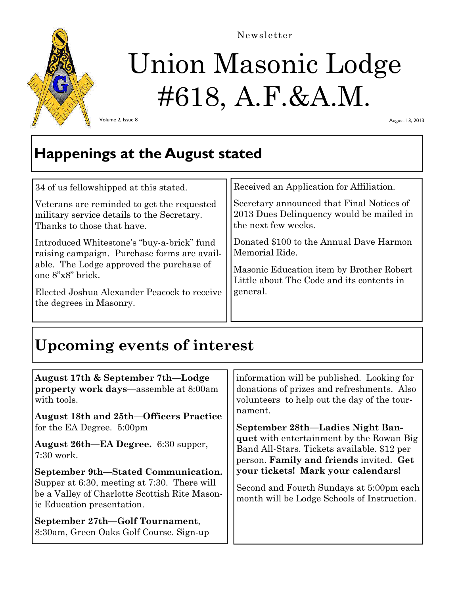

#### Newsletter

# Union Masonic Lodge #618, A.F.&A.M.

Volume 2, Issue 8

August 13, 2013

## **Happenings at the August stated**

| Received an Application for Affiliation.                                                                     |
|--------------------------------------------------------------------------------------------------------------|
| Secretary announced that Final Notices of<br>2013 Dues Delinquency would be mailed in<br>the next few weeks. |
| Donated \$100 to the Annual Dave Harmon<br>Memorial Ride.                                                    |
| Masonic Education item by Brother Robert<br>Little about The Code and its contents in                        |
| general.                                                                                                     |
|                                                                                                              |

## **Upcoming events of interest**

| August 17th & September 7th—Lodge                                          | information will be published. Looking for  |
|----------------------------------------------------------------------------|---------------------------------------------|
| property work days—assemble at 8:00am                                      | donations of prizes and refreshments. Also  |
| with tools.                                                                | volunteers to help out the day of the tour- |
| <b>August 18th and 25th–Officers Practice</b>                              | nament.                                     |
| for the EA Degree. 5:00pm                                                  | September 28th—Ladies Night Ban-            |
| August 26th—EA Degree. 6:30 supper,                                        | quet with entertainment by the Rowan Big    |
| $7:30$ work.                                                               | Band All-Stars. Tickets available. \$12 per |
| September 9th—Stated Communication.                                        | person. Family and friends invited. Get     |
| Supper at 6:30, meeting at 7:30. There will                                | your tickets! Mark your calendars!          |
| be a Valley of Charlotte Scottish Rite Mason-                              | Second and Fourth Sundays at 5:00pm each    |
| ic Education presentation.                                                 | month will be Lodge Schools of Instruction. |
| September 27th-Golf Tournament,<br>8:30am, Green Oaks Golf Course. Sign-up |                                             |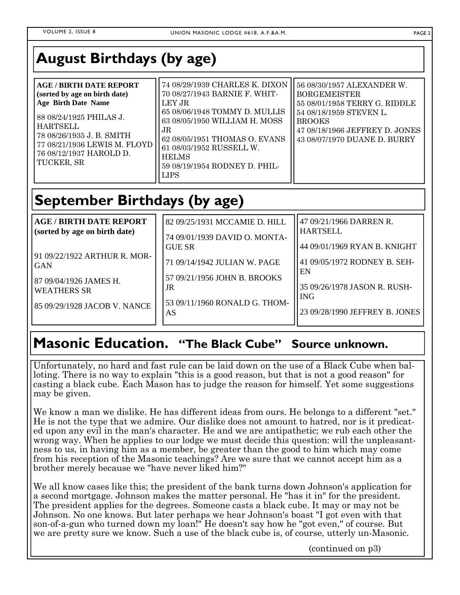## **August Birthdays (by age)**

| <b>AGE/BIRTH DATE REPORT</b><br>(sorted by age on birth date)<br><b>Age Birth Date Name</b><br>88 08/24/1925 PHILAS J.<br><b>HARTSELL</b><br>78 08/26/1935 J. B. SMITH | 74 08/29/1939 CHARLES K. DIXON<br>70 08/27/1943 BARNIE F. WHIT-<br>LEY JR<br>65 08/06/1948 TOMMY D. MULLIS<br>63 08/05/1950 WILLIAM H. MOSS<br>JR. | 56 08/30/1957 ALEXANDER W.<br><b>BORGEMEISTER</b><br>55 08/01/1958 TERRY G. RIDDLE<br>54 08/18/1959 STEVEN L.<br><b>BROOKS</b><br>47 08/18/1966 JEFFREY D. JONES<br>43 08/07/1970 DUANE D. BURRY |
|------------------------------------------------------------------------------------------------------------------------------------------------------------------------|----------------------------------------------------------------------------------------------------------------------------------------------------|--------------------------------------------------------------------------------------------------------------------------------------------------------------------------------------------------|
| 77 08/21/1936 LEWIS M. FLOYD<br>76 08/12/1937 HAROLD D.<br>  TUCKER, SR                                                                                                | 62 08/05/1951 THOMAS O. EVANS<br>61 08/03/1952 RUSSELL W.<br><b>HELMS</b><br>59 08/19/1954 RODNEY D. PHIL-<br><b>LIPS</b>                          |                                                                                                                                                                                                  |

# **September Birthdays (by age)**

| <b>AGE / BIRTH DATE REPORT</b><br>(sorted by age on birth date) | 82 09/25/1931 MCCAMIE D. HILL<br>74 09/01/1939 DAVID O. MONTA-<br><b>GUE SR</b> | 47 09/21/1966 DARREN R.<br><b>HARTSELL</b><br>44 09/01/1969 RYAN B. KNIGHT |
|-----------------------------------------------------------------|---------------------------------------------------------------------------------|----------------------------------------------------------------------------|
| 91 09/22/1922 ARTHUR R. MOR-                                    | 71 09/14/1942 JULIAN W. PAGE                                                    | 41 09/05/1972 RODNEY B. SEH-                                               |
| <b>GAN</b>                                                      | 57 09/21/1956 JOHN B. BROOKS                                                    | EN                                                                         |
| 87 09/04/1926 JAMES H.                                          | JR                                                                              | 35 09/26/1978 JASON R. RUSH-                                               |
| <b>WEATHERS SR</b>                                              | 53 09/11/1960 RONALD G. THOM-                                                   | <b>ING</b>                                                                 |
| 85 09/29/1928 JACOB V. NANCE                                    | AS                                                                              | 23 09/28/1990 JEFFREY B. JONES                                             |

### **Masonic Education. "The Black Cube" Source unknown.**

Unfortunately, no hard and fast rule can be laid down on the use of a Black Cube when balloting. There is no way to explain "this is a good reason, but that is not a good reason" for casting a black cube. Each Mason has to judge the reason for himself. Yet some suggestions may be given.

We know a man we dislike. He has different ideas from ours. He belongs to a different "set." He is not the type that we admire. Our dislike does not amount to hatred, nor is it predicated upon any evil in the man's character. He and we are antipathetic; we rub each other the wrong way. When he applies to our lodge we must decide this question: will the unpleasantness to us, in having him as a member, be greater than the good to him which may come from his reception of the Masonic teachings? Are we sure that we cannot accept him as a brother merely because we "have never liked him?"

We all know cases like this; the president of the bank turns down Johnson's application for a second mortgage. Johnson makes the matter personal. He "has it in" for the president. The president applies for the degrees. Someone casts a black cube. It may or may not be Johnson. No one knows. But later perhaps we hear Johnson's boast "I got even with that son-of-a-gun who turned down my loan!" He doesn't say how he "got even," of course. But we are pretty sure we know. Such a use of the black cube is, of course, utterly un-Masonic.

(continued on p3)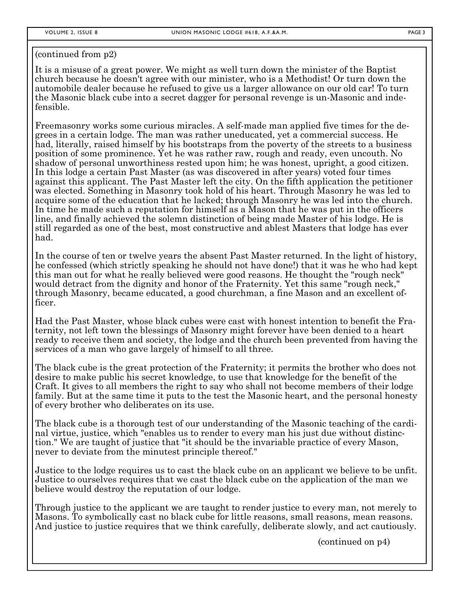(continued from p2)

It is a misuse of a great power. We might as well turn down the minister of the Baptist church because he doesn't agree with our minister, who is a Methodist! Or turn down the automobile dealer because he refused to give us a larger allowance on our old car! To turn the Masonic black cube into a secret dagger for personal revenge is un-Masonic and indefensible.

Freemasonry works some curious miracles. A self-made man applied five times for the degrees in a certain lodge. The man was rather uneducated, yet a commercial success. He had, literally, raised himself by his bootstraps from the poverty of the streets to a business position of some prominence. Yet he was rather raw, rough and ready, even uncouth. No shadow of personal unworthiness rested upon him; he was honest, upright, a good citizen. In this lodge a certain Past Master (as was discovered in after years) voted four times against this applicant. The Past Master left the city. On the fifth application the petitioner was elected. Something in Masonry took hold of his heart. Through Masonry he was led to acquire some of the education that he lacked; through Masonry he was led into the church. In time he made such a reputation for himself as a Mason that he was put in the officers line, and finally achieved the solemn distinction of being made Master of his lodge. He is still regarded as one of the best, most constructive and ablest Masters that lodge has ever had.

In the course of ten or twelve years the absent Past Master returned. In the light of history, he confessed (which strictly speaking he should not have done!) that it was he who had kept this man out for what he really believed were good reasons. He thought the "rough neck" would detract from the dignity and honor of the Fraternity. Yet this same "rough neck," through Masonry, became educated, a good churchman, a fine Mason and an excellent officer.

Had the Past Master, whose black cubes were cast with honest intention to benefit the Fraternity, not left town the blessings of Masonry might forever have been denied to a heart ready to receive them and society, the lodge and the church been prevented from having the services of a man who gave largely of himself to all three.

The black cube is the great protection of the Fraternity; it permits the brother who does not desire to make public his secret knowledge, to use that knowledge for the benefit of the Craft. It gives to all members the right to say who shall not become members of their lodge family. But at the same time it puts to the test the Masonic heart, and the personal honesty of every brother who deliberates on its use.

The black cube is a thorough test of our understanding of the Masonic teaching of the cardinal virtue, justice, which "enables us to render to every man his just due without distinction." We are taught of justice that "it should be the invariable practice of every Mason, never to deviate from the minutest principle thereof."

Justice to the lodge requires us to cast the black cube on an applicant we believe to be unfit. Justice to ourselves requires that we cast the black cube on the application of the man we believe would destroy the reputation of our lodge.

Through justice to the applicant we are taught to render justice to every man, not merely to Masons. To symbolically cast no black cube for little reasons, small reasons, mean reasons. And justice to justice requires that we think carefully, deliberate slowly, and act cautiously.

(continued on p4)